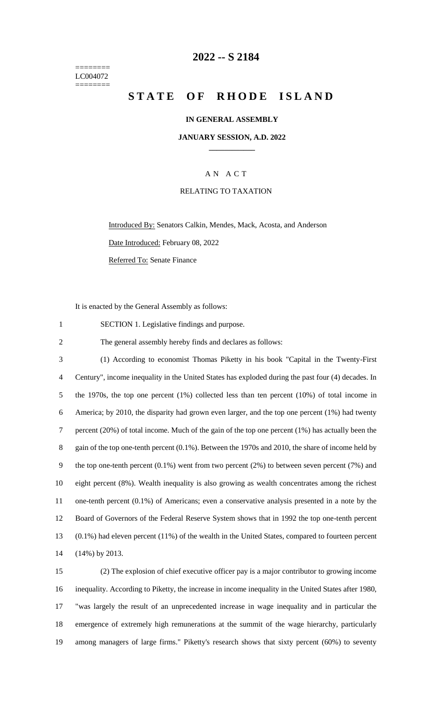======== LC004072 ========

## **2022 -- S 2184**

# **STATE OF RHODE ISLAND**

#### **IN GENERAL ASSEMBLY**

#### **JANUARY SESSION, A.D. 2022 \_\_\_\_\_\_\_\_\_\_\_\_**

A N A C T

#### RELATING TO TAXATION

Introduced By: Senators Calkin, Mendes, Mack, Acosta, and Anderson Date Introduced: February 08, 2022 Referred To: Senate Finance

It is enacted by the General Assembly as follows:

- 1 SECTION 1. Legislative findings and purpose.
- 2 The general assembly hereby finds and declares as follows:

 (1) According to economist Thomas Piketty in his book "Capital in the Twenty-First Century", income inequality in the United States has exploded during the past four (4) decades. In the 1970s, the top one percent (1%) collected less than ten percent (10%) of total income in America; by 2010, the disparity had grown even larger, and the top one percent (1%) had twenty percent (20%) of total income. Much of the gain of the top one percent (1%) has actually been the 8 gain of the top one-tenth percent (0.1%). Between the 1970s and 2010, the share of income held by 9 the top one-tenth percent (0.1%) went from two percent (2%) to between seven percent (7%) and eight percent (8%). Wealth inequality is also growing as wealth concentrates among the richest one-tenth percent (0.1%) of Americans; even a conservative analysis presented in a note by the Board of Governors of the Federal Reserve System shows that in 1992 the top one-tenth percent (0.1%) had eleven percent (11%) of the wealth in the United States, compared to fourteen percent (14%) by 2013.

 (2) The explosion of chief executive officer pay is a major contributor to growing income inequality. According to Piketty, the increase in income inequality in the United States after 1980, "was largely the result of an unprecedented increase in wage inequality and in particular the emergence of extremely high remunerations at the summit of the wage hierarchy, particularly among managers of large firms." Piketty's research shows that sixty percent (60%) to seventy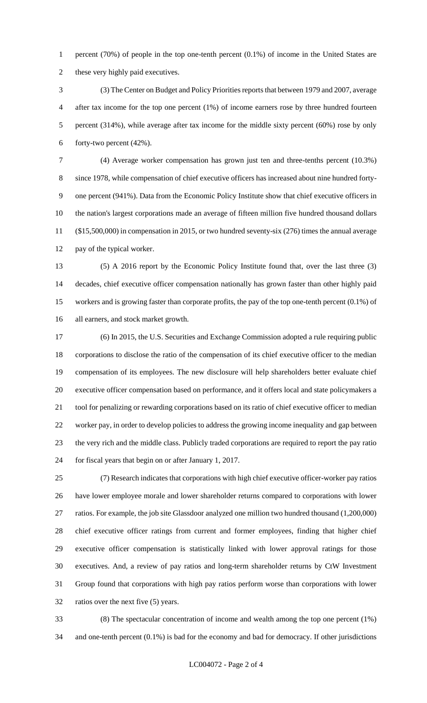1 percent (70%) of people in the top one-tenth percent (0.1%) of income in the United States are 2 these very highly paid executives.

 (3) The Center on Budget and Policy Priorities reports that between 1979 and 2007, average after tax income for the top one percent (1%) of income earners rose by three hundred fourteen 5 percent (314%), while average after tax income for the middle sixty percent (60%) rose by only forty-two percent (42%).

 (4) Average worker compensation has grown just ten and three-tenths percent (10.3%) since 1978, while compensation of chief executive officers has increased about nine hundred forty- one percent (941%). Data from the Economic Policy Institute show that chief executive officers in the nation's largest corporations made an average of fifteen million five hundred thousand dollars (\$15,500,000) in compensation in 2015, or two hundred seventy-six (276) times the annual average pay of the typical worker.

 (5) A 2016 report by the Economic Policy Institute found that, over the last three (3) decades, chief executive officer compensation nationally has grown faster than other highly paid workers and is growing faster than corporate profits, the pay of the top one-tenth percent (0.1%) of all earners, and stock market growth.

 (6) In 2015, the U.S. Securities and Exchange Commission adopted a rule requiring public corporations to disclose the ratio of the compensation of its chief executive officer to the median compensation of its employees. The new disclosure will help shareholders better evaluate chief executive officer compensation based on performance, and it offers local and state policymakers a tool for penalizing or rewarding corporations based on its ratio of chief executive officer to median worker pay, in order to develop policies to address the growing income inequality and gap between the very rich and the middle class. Publicly traded corporations are required to report the pay ratio for fiscal years that begin on or after January 1, 2017.

 (7) Research indicates that corporations with high chief executive officer-worker pay ratios have lower employee morale and lower shareholder returns compared to corporations with lower ratios. For example, the job site Glassdoor analyzed one million two hundred thousand (1,200,000) chief executive officer ratings from current and former employees, finding that higher chief executive officer compensation is statistically linked with lower approval ratings for those executives. And, a review of pay ratios and long-term shareholder returns by CtW Investment Group found that corporations with high pay ratios perform worse than corporations with lower ratios over the next five (5) years.

 (8) The spectacular concentration of income and wealth among the top one percent (1%) and one-tenth percent (0.1%) is bad for the economy and bad for democracy. If other jurisdictions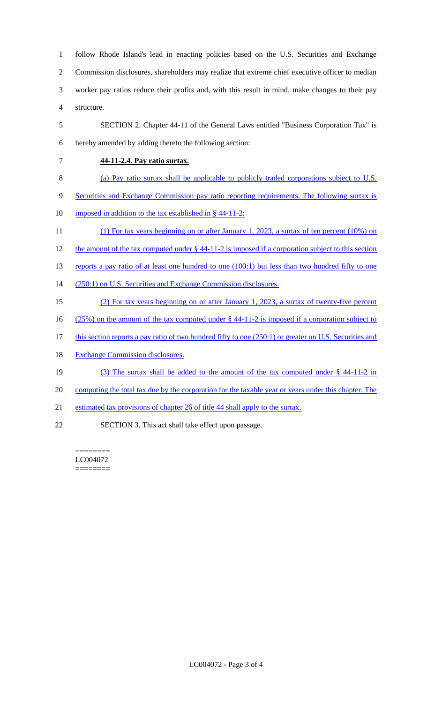follow Rhode Island's lead in enacting policies based on the U.S. Securities and Exchange Commission disclosures, shareholders may realize that extreme chief executive officer to median worker pay ratios reduce their profits and, with this result in mind, make changes to their pay structure.

- 5 SECTION 2. Chapter 44-11 of the General Laws entitled "Business Corporation Tax" is 6 hereby amended by adding thereto the following section:
- 

7 **44-11-2.4. Pay ratio surtax.** 

- 8 (a) Pay ratio surtax shall be applicable to publicly traded corporations subject to U.S.
- 9 Securities and Exchange Commission pay ratio reporting requirements. The following surtax is
- 10 imposed in addition to the tax established in  $\S$  44-11-2:
- 11 (1) For tax years beginning on or after January 1, 2023, a surtax of ten percent (10%) on
- 12 the amount of the tax computed under § 44-11-2 is imposed if a corporation subject to this section
- 13 reports a pay ratio of at least one hundred to one (100:1) but less than two hundred fifty to one
- 14 (250:1) on U.S. Securities and Exchange Commission disclosures.
- 15 (2) For tax years beginning on or after January 1, 2023, a surtax of twenty-five percent
- 16 (25%) on the amount of the tax computed under § 44-11-2 is imposed if a corporation subject to
- 17 this section reports a pay ratio of two hundred fifty to one (250:1) or greater on U.S. Securities and
- 18 Exchange Commission disclosures.
- 19 (3) The surtax shall be added to the amount of the tax computed under § 44-11-2 in
- 20 computing the total tax due by the corporation for the taxable year or years under this chapter. The
- 21 estimated tax provisions of chapter 26 of title 44 shall apply to the surtax.
- 22 SECTION 3. This act shall take effect upon passage.

======== LC004072 ========